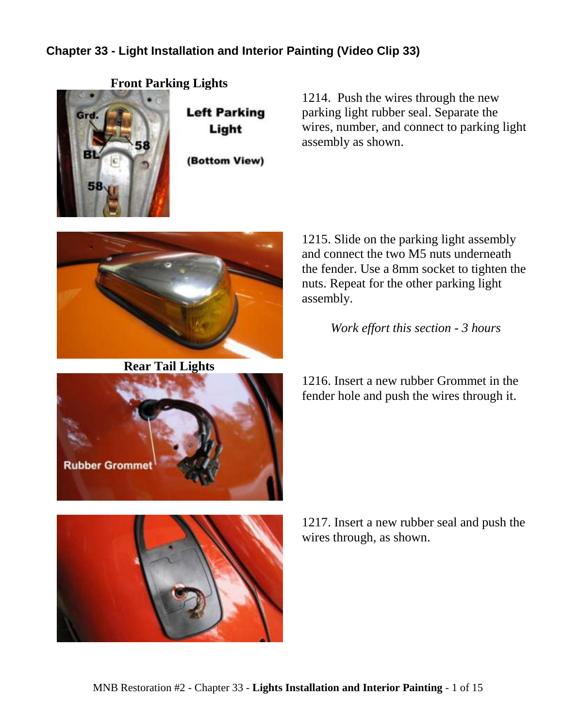## **Chapter 33 - Light Installation and Interior Painting (Video Clip 33)**

**Front Parking Lights**



**Left Parking** Light

(Bottom View)



**Rear Tail Lights**



1214. Push the wires through the new parking light rubber seal. Separate the wires, number, and connect to parking light assembly as shown.

1215. Slide on the parking light assembly and connect the two M5 nuts underneath the fender. Use a 8mm socket to tighten the nuts. Repeat for the other parking light assembly.

*Work effort this section - 3 hours*

1216. Insert a new rubber Grommet in the fender hole and push the wires through it.

1217. Insert a new rubber seal and push the wires through, as shown.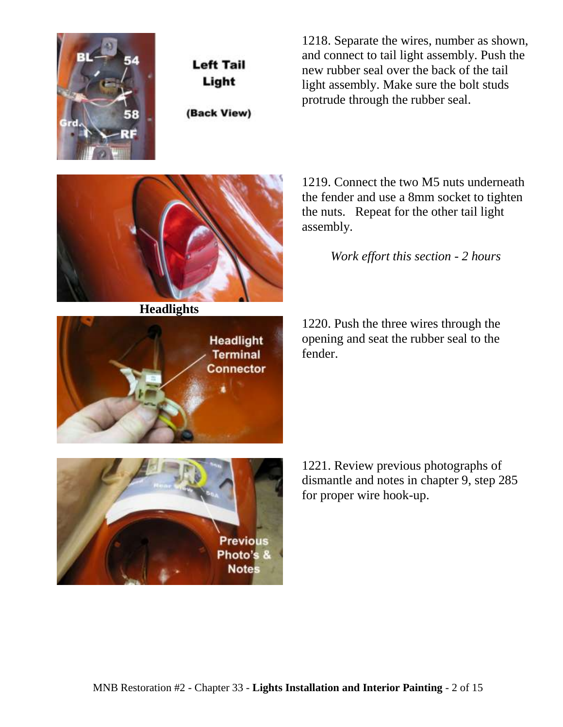

**Left Tail** Light

(Back View)

1218. Separate the wires, number as shown, and connect to tail light assembly. Push the new rubber seal over the back of the tail light assembly. Make sure the bolt studs protrude through the rubber seal.

**Headlights**



1219. Connect the two M5 nuts underneath the fender and use a 8mm socket to tighten the nuts. Repeat for the other tail light assembly.

*Work effort this section - 2 hours*

1220. Push the three wires through the opening and seat the rubber seal to the fender.

1221. Review previous photographs of dismantle and notes in chapter 9, step 285 for proper wire hook-up.

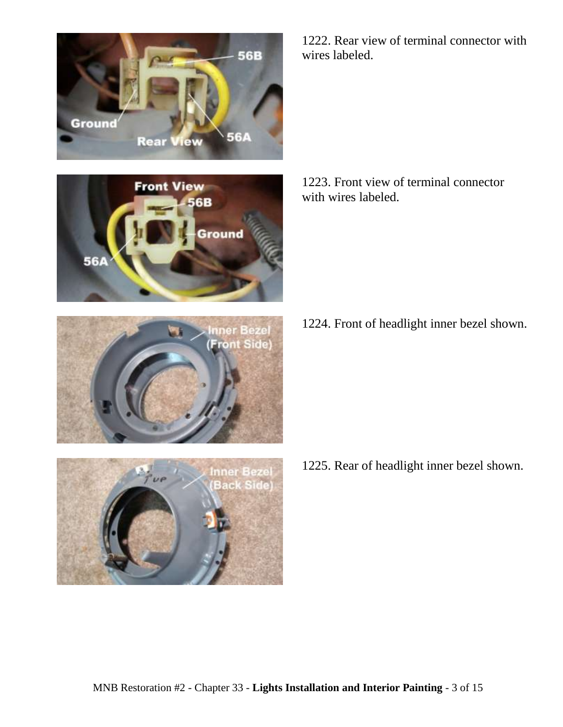







1222. Rear view of terminal connector with wires labeled.

1223. Front view of terminal connector with wires labeled.

1224. Front of headlight inner bezel shown.

1225. Rear of headlight inner bezel shown.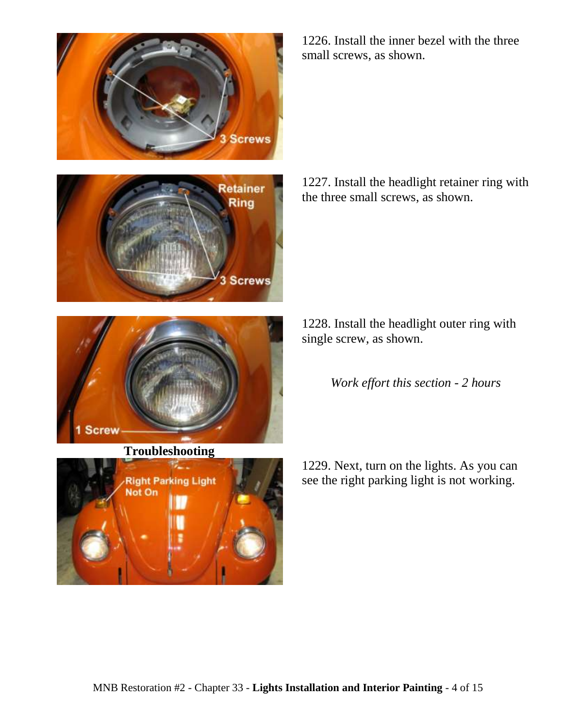





**Troubleshooting**



1226. Install the inner bezel with the three small screws, as shown.

1227. Install the headlight retainer ring with the three small screws, as shown.

1228. Install the headlight outer ring with single screw, as shown.

*Work effort this section - 2 hours*

1229. Next, turn on the lights. As you can see the right parking light is not working.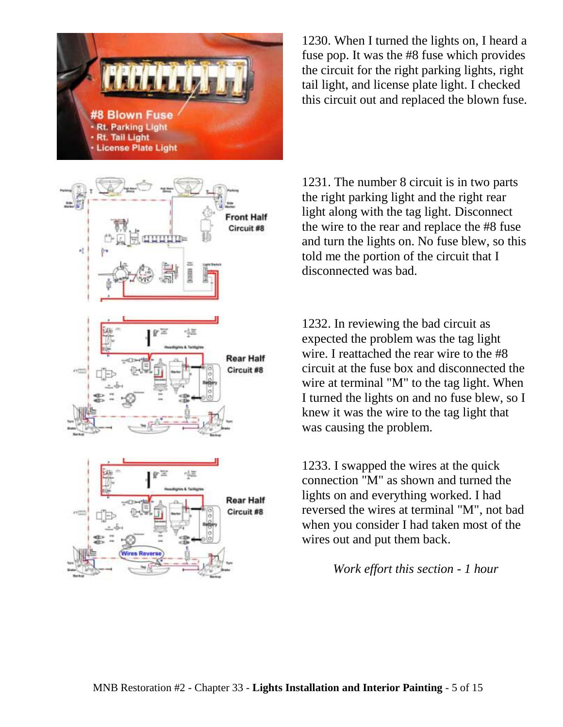



1230. When I turned the lights on, I heard a fuse pop. It was the #8 fuse which provides the circuit for the right parking lights, right tail light, and license plate light. I checked this circuit out and replaced the blown fuse.

1231. The number 8 circuit is in two parts the right parking light and the right rear light along with the tag light. Disconnect the wire to the rear and replace the #8 fuse and turn the lights on. No fuse blew, so this told me the portion of the circuit that I disconnected was bad.

1232. In reviewing the bad circuit as expected the problem was the tag light wire. I reattached the rear wire to the #8 circuit at the fuse box and disconnected the wire at terminal "M" to the tag light. When I turned the lights on and no fuse blew, so I knew it was the wire to the tag light that was causing the problem.

1233. I swapped the wires at the quick connection "M" as shown and turned the lights on and everything worked. I had reversed the wires at terminal "M", not bad when you consider I had taken most of the wires out and put them back.

*Work effort this section - 1 hour*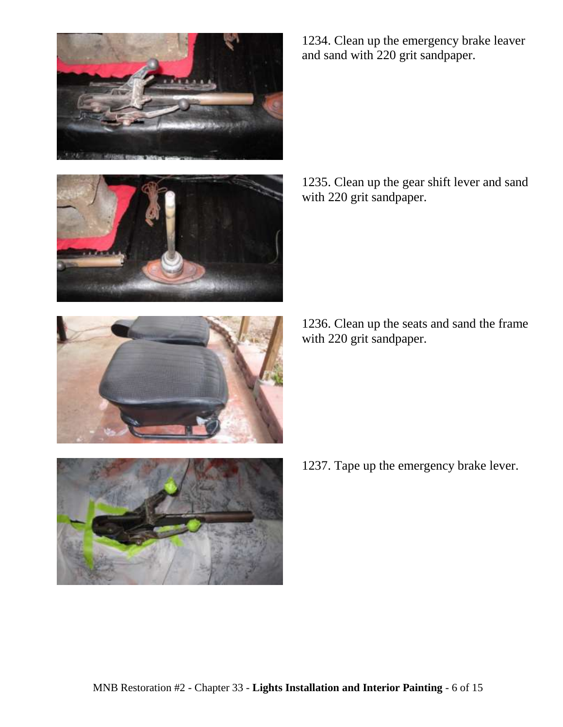





1234. Clean up the emergency brake leaver and sand with 220 grit sandpaper.

1235. Clean up the gear shift lever and sand with 220 grit sandpaper.

1236. Clean up the seats and sand the frame with 220 grit sandpaper.



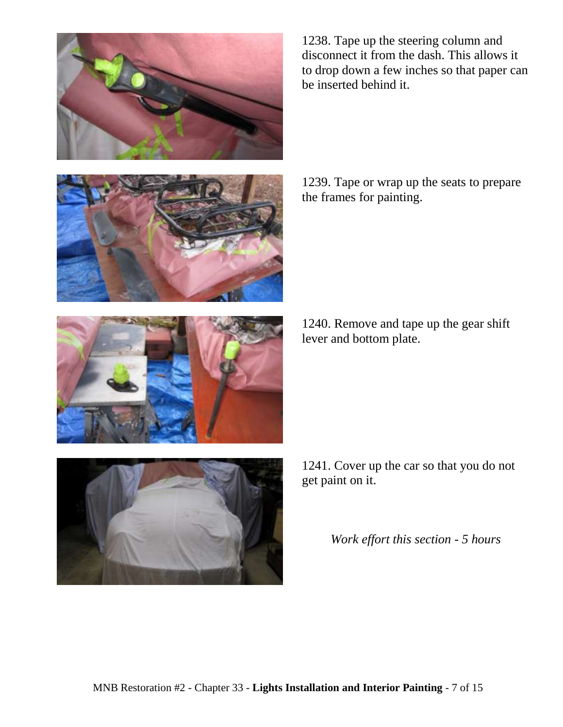

to drop down a few inches so that paper can be inserted behind it.

1238. Tape up the steering column and disconnect it from the dash. This allows it





1240. Remove and tape up the gear shift lever and bottom plate.



1241. Cover up the car so that you do not get paint on it.

*Work effort this section - 5 hours*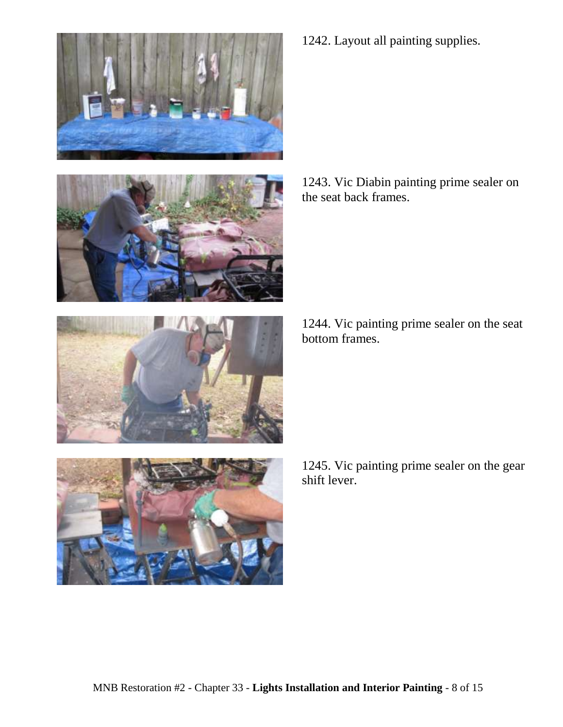





1242. Layout all painting supplies.

1243. Vic Diabin painting prime sealer on the seat back frames.

1244. Vic painting prime sealer on the seat bottom frames.



1245. Vic painting prime sealer on the gear shift lever.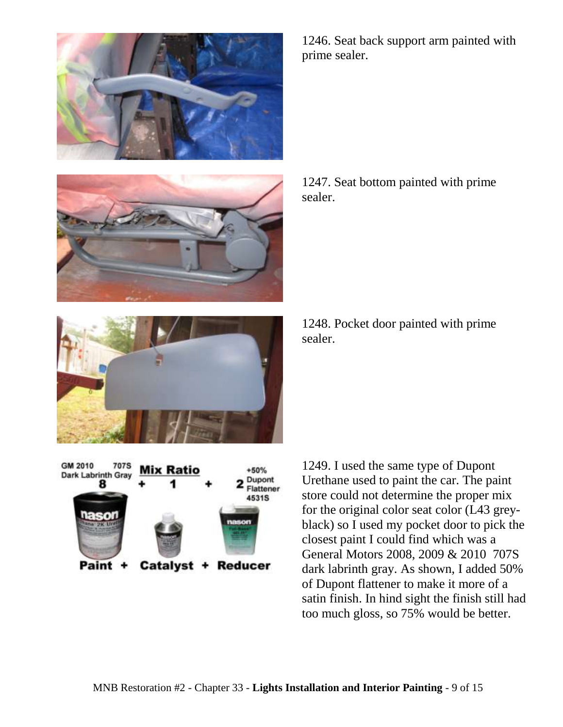



1246. Seat back support arm painted with prime sealer.

1247. Seat bottom painted with prime sealer.



1248. Pocket door painted with prime sealer.



1249. I used the same type of Dupont Urethane used to paint the car. The paint store could not determine the proper mix for the original color seat color (L43 greyblack) so I used my pocket door to pick the closest paint I could find which was a General Motors 2008, 2009 & 2010 707S dark labrinth gray. As shown, I added 50% of Dupont flattener to make it more of a satin finish. In hind sight the finish still had too much gloss, so 75% would be better.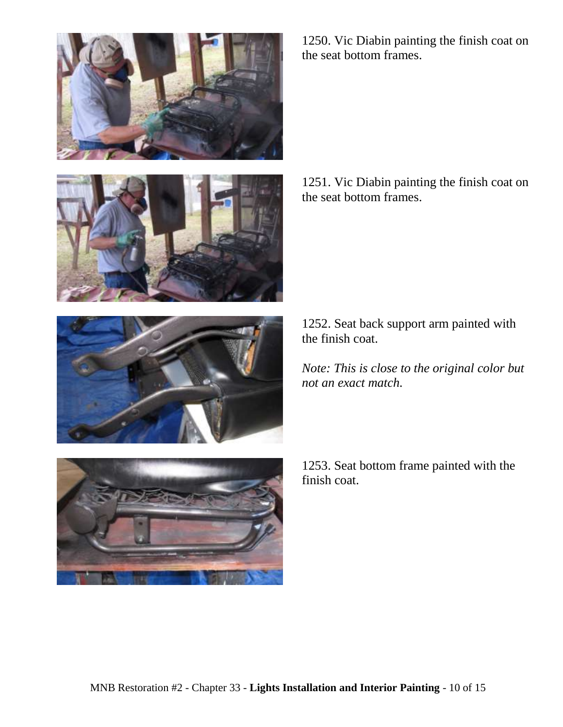







1250. Vic Diabin painting the finish coat on the seat bottom frames.

1251. Vic Diabin painting the finish coat on the seat bottom frames.

1252. Seat back support arm painted with the finish coat.

*Note: This is close to the original color but not an exact match.*

1253. Seat bottom frame painted with the finish coat.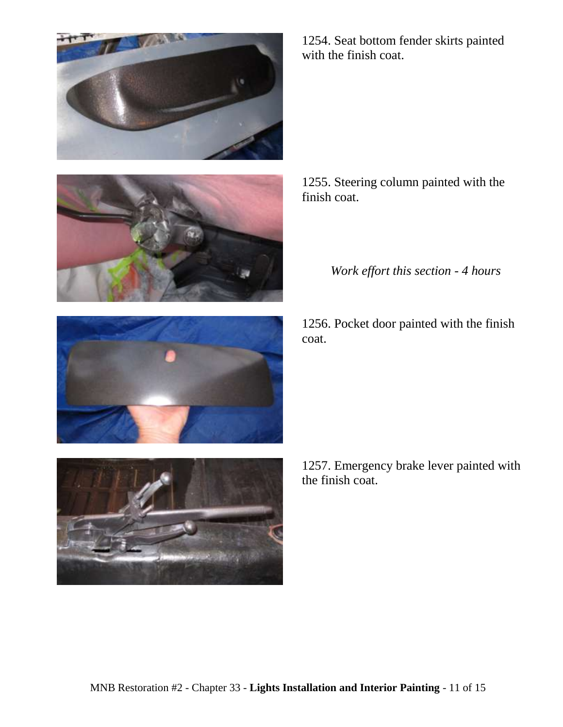



1254. Seat bottom fender skirts painted with the finish coat.

1255. Steering column painted with the finish coat.

*Work effort this section - 4 hours*

1256. Pocket door painted with the finish coat.



1257. Emergency brake lever painted with the finish coat.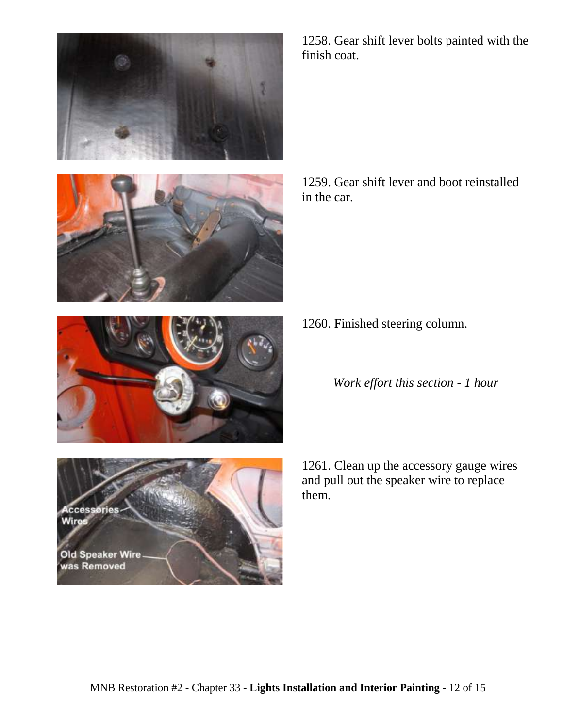





1258. Gear shift lever bolts painted with the finish coat.

1259. Gear shift lever and boot reinstalled in the car.

1260. Finished steering column.

*Work effort this section - 1 hour*

1261. Clean up the accessory gauge wires and pull out the speaker wire to replace them.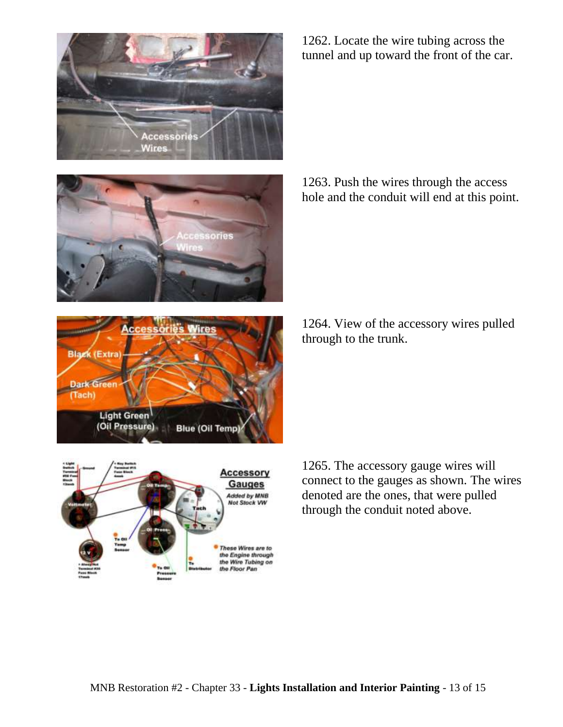







1262. Locate the wire tubing across the tunnel and up toward the front of the car.

1263. Push the wires through the access hole and the conduit will end at this point.

1264. View of the accessory wires pulled through to the trunk.

1265. The accessory gauge wires will connect to the gauges as shown. The wires denoted are the ones, that were pulled through the conduit noted above.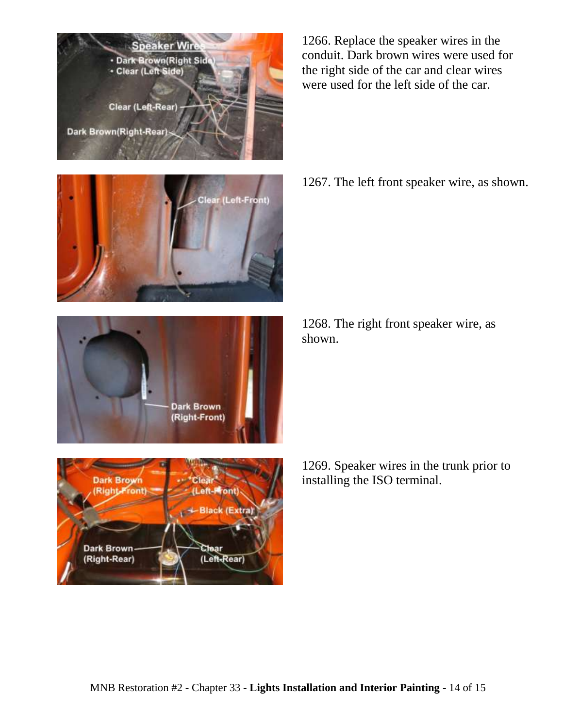







1266. Replace the speaker wires in the conduit. Dark brown wires were used for the right side of the car and clear wires were used for the left side of the car.

1267. The left front speaker wire, as shown.

1268. The right front speaker wire, as shown.

1269. Speaker wires in the trunk prior to installing the ISO terminal.